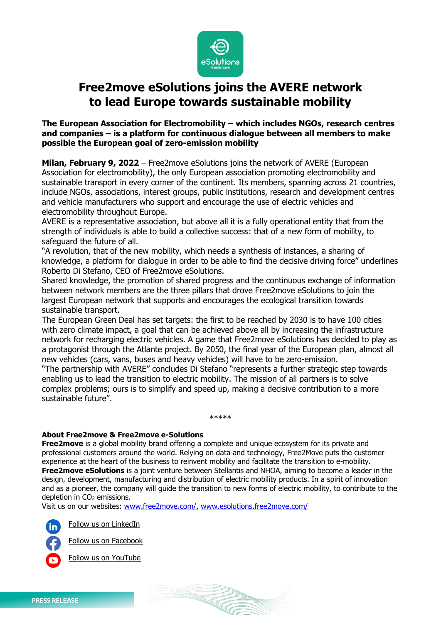

## **Free2move eSolutions joins the AVERE network to lead Europe towards sustainable mobility**

## **The European Association for Electromobility – which includes NGOs, research centres and companies – is a platform for continuous dialogue between all members to make possible the European goal of zero-emission mobility**

**Milan, February 9, 2022** – Free2move eSolutions joins the network of AVERE (European Association for electromobility), the only European association promoting electromobility and sustainable transport in every corner of the continent. Its members, spanning across 21 countries, include NGOs, associations, interest groups, public institutions, research and development centres and vehicle manufacturers who support and encourage the use of electric vehicles and electromobility throughout Europe.

AVERE is a representative association, but above all it is a fully operational entity that from the strength of individuals is able to build a collective success: that of a new form of mobility, to safeguard the future of all.

"A revolution, that of the new mobility, which needs a synthesis of instances, a sharing of knowledge, a platform for dialogue in order to be able to find the decisive driving force" underlines Roberto Di Stefano, CEO of Free2move eSolutions.

Shared knowledge, the promotion of shared progress and the continuous exchange of information between network members are the three pillars that drove Free2move eSolutions to join the largest European network that supports and encourages the ecological transition towards sustainable transport.

The European Green Deal has set targets: the first to be reached by 2030 is to have 100 cities with zero climate impact, a goal that can be achieved above all by increasing the infrastructure network for recharging electric vehicles. A game that Free2move eSolutions has decided to play as a protagonist through the Atlante project. By 2050, the final year of the European plan, almost all new vehicles (cars, vans, buses and heavy vehicles) will have to be zero-emission.

"The partnership with AVERE" concludes Di Stefano "represents a further strategic step towards enabling us to lead the transition to electric mobility. The mission of all partners is to solve complex problems; ours is to simplify and speed up, making a decisive contribution to a more sustainable future".

\*\*\*\*\*

## **About Free2move & Free2move e-Solutions**

**Free2move** is a global mobility brand offering a complete and unique ecosystem for its private and professional customers around the world. Relying on data and technology, Free2Move puts the customer experience at the heart of the business to reinvent mobility and facilitate the transition to e-mobility. **Free2move eSolutions** is a joint venture between Stellantis and NHOA, aiming to become a leader in the design, development, manufacturing and distribution of electric mobility products. In a spirit of innovation and as a pioneer, the company will guide the transition to new forms of electric mobility, to contribute to the depletion in CO<sub>2</sub> emissions.

Visit us on our websites: [www.free2move.com/,](http://www.free2move.com/) [www.esolutions.free2move.com/](http://www.esolutions.free2move.com/​)

[Follow us on](https://www.linkedin.com/company/free2move-esolutions/) LinkedIn



[Follow us on](https://www.facebook.com/eSolutionsF2m) Facebook